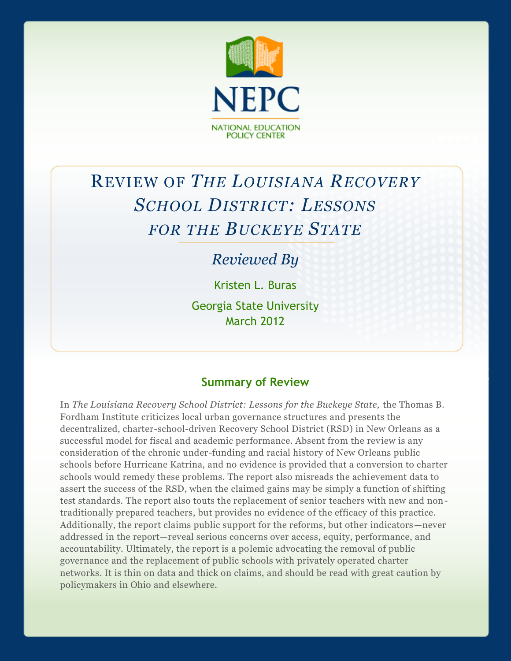

# REVIEW OF *THE LOUISIANA RECOVERY SCHOOL DISTRICT: LESSONS FOR THE BUCKEYE STATE*

## *Reviewed By*

Kristen L. Buras Georgia State University

March 2012

## **Summary of Review**

In *The Louisiana Recovery School District: Lessons for the Buckeye State,* the Thomas B. Fordham Institute criticizes local urban governance structures and presents the decentralized, charter-school-driven Recovery School District (RSD) in New Orleans as a successful model for fiscal and academic performance. Absent from the review is any consideration of the chronic under-funding and racial history of New Orleans public schools before Hurricane Katrina, and no evidence is provided that a conversion to charter schools would remedy these problems. The report also misreads the achievement data to assert the success of the RSD, when the claimed gains may be simply a function of shifting test standards. The report also touts the replacement of senior teachers with new and nontraditionally prepared teachers, but provides no evidence of the efficacy of this practice. Additionally, the report claims public support for the reforms, but other indicators—never addressed in the report—reveal serious concerns over access, equity, performance, and accountability. Ultimately, the report is a polemic advocating the removal of public governance and the replacement of public schools with privately operated charter networks. It is thin on data and thick on claims, and should be read with great caution by policymakers in Ohio and elsewhere.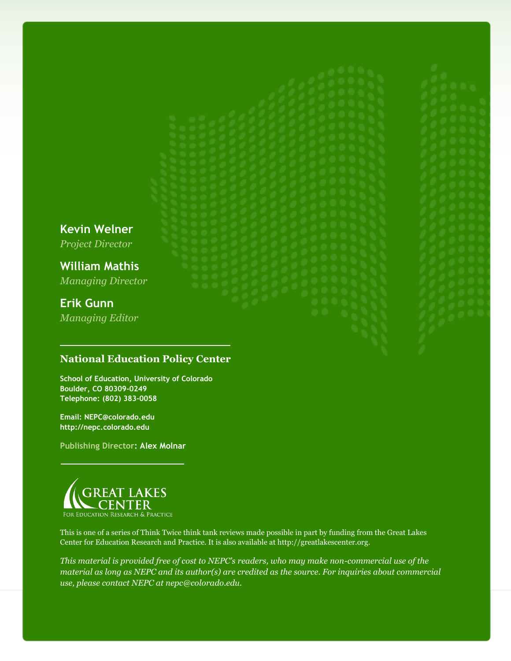*Project Director* **William Mathis**

**Kevin Welner**

*Managing Director*

## **Erik Gunn**

*Managing Editor*

#### **National Education Policy Center**

**School of Education, University of Colorado Boulder, CO 80309-0249 Telephone: (802) 383-0058**

**Email: NEPC@colorado.edu http://nepc.colorado.edu**

**Publishing Director: Alex Molnar**



This is one of a series of Think Twice think tank reviews made possible in part by funding from the Great Lakes Center for Education Research and Practice. It is also available at http://greatlakescenter.org.

*This material is provided free of cost to NEPC's readers, who may make non-commercial use of the material as long as NEPC and its author(s) are credited as the source. For inquiries about commercial use, please contact NEPC at nepc@colorado.edu.*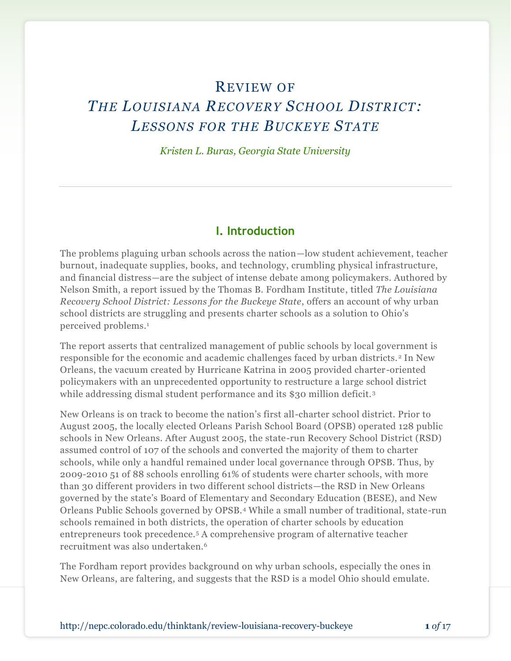## REVIEW OF

## *THE LOUISIANA RECOVERY SCHOOL DISTRICT: LESSONS FOR THE BUCKEYE STATE*

*Kristen L. Buras, Georgia State University*

#### **I. Introduction**

The problems plaguing urban schools across the nation—low student achievement, teacher burnout, inadequate supplies, books, and technology, crumbling physical infrastructure, and financial distress—are the subject of intense debate among policymakers. Authored by Nelson Smith, a report issued by the Thomas B. Fordham Institute, titled *The Louisiana Recovery School District: Lessons for the Buckeye State*, offers an account of why urban school districts are struggling and presents charter schools as a solution to Ohio's perceived problems.<sup>1</sup>

The report asserts that centralized management of public schools by local government is responsible for the economic and academic challenges faced by urban districts. <sup>2</sup> In New Orleans, the vacuum created by Hurricane Katrina in 2005 provided charter-oriented policymakers with an unprecedented opportunity to restructure a large school district while addressing dismal student performance and its \$30 million deficit.<sup>3</sup>

New Orleans is on track to become the nation's first all-charter school district. Prior to August 2005, the locally elected Orleans Parish School Board (OPSB) operated 128 public schools in New Orleans. After August 2005, the state-run Recovery School District (RSD) assumed control of 107 of the schools and converted the majority of them to charter schools, while only a handful remained under local governance through OPSB. Thus, by 2009-2010 51 of 88 schools enrolling 61% of students were charter schools, with more than 30 different providers in two different school districts—the RSD in New Orleans governed by the state's Board of Elementary and Secondary Education (BESE), and New Orleans Public Schools governed by OPSB.<sup>4</sup> While a small number of traditional, state-run schools remained in both districts, the operation of charter schools by education entrepreneurs took precedence.<sup>5</sup> A comprehensive program of alternative teacher recruitment was also undertaken.<sup>6</sup>

The Fordham report provides background on why urban schools, especially the ones in New Orleans, are faltering, and suggests that the RSD is a model Ohio should emulate.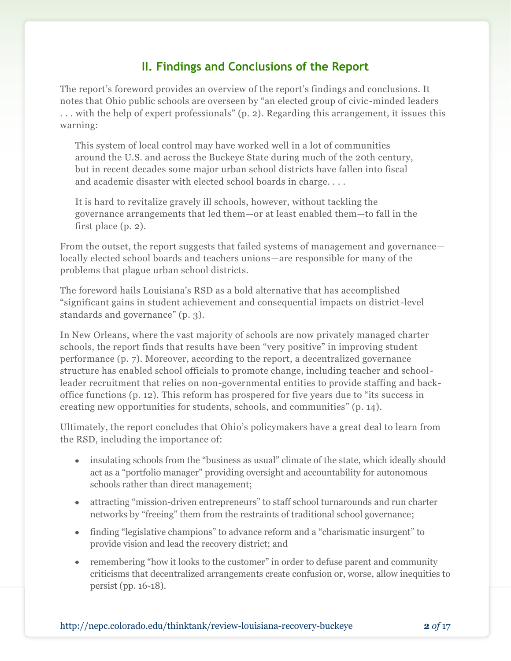### **II. Findings and Conclusions of the Report**

The report's foreword provides an overview of the report's findings and conclusions. It notes that Ohio public schools are overseen by "an elected group of civic-minded leaders . . . with the help of expert professionals" (p. 2). Regarding this arrangement, it issues this warning:

This system of local control may have worked well in a lot of communities around the U.S. and across the Buckeye State during much of the 20th century, but in recent decades some major urban school districts have fallen into fiscal and academic disaster with elected school boards in charge. . . .

It is hard to revitalize gravely ill schools, however, without tackling the governance arrangements that led them—or at least enabled them—to fall in the first place (p. 2).

From the outset, the report suggests that failed systems of management and governance locally elected school boards and teachers unions—are responsible for many of the problems that plague urban school districts.

The foreword hails Louisiana's RSD as a bold alternative that has accomplished "significant gains in student achievement and consequential impacts on district-level standards and governance" (p. 3).

In New Orleans, where the vast majority of schools are now privately managed charter schools, the report finds that results have been "very positive" in improving student performance (p. 7). Moreover, according to the report, a decentralized governance structure has enabled school officials to promote change, including teacher and schoolleader recruitment that relies on non-governmental entities to provide staffing and backoffice functions (p. 12). This reform has prospered for five years due to "its success in creating new opportunities for students, schools, and communities" (p. 14).

Ultimately, the report concludes that Ohio's policymakers have a great deal to learn from the RSD, including the importance of:

- insulating schools from the "business as usual" climate of the state, which ideally should act as a "portfolio manager" providing oversight and accountability for autonomous schools rather than direct management;
- attracting "mission-driven entrepreneurs" to staff school turnarounds and run charter networks by "freeing" them from the restraints of traditional school governance;
- finding "legislative champions" to advance reform and a "charismatic insurgent" to provide vision and lead the recovery district; and
- remembering "how it looks to the customer" in order to defuse parent and community criticisms that decentralized arrangements create confusion or, worse, allow inequities to persist (pp. 16-18).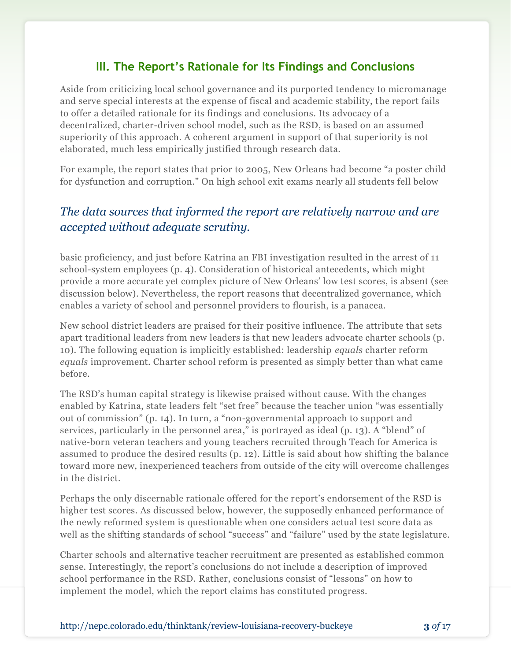### **III. The Report's Rationale for Its Findings and Conclusions**

Aside from criticizing local school governance and its purported tendency to micromanage and serve special interests at the expense of fiscal and academic stability, the report fails to offer a detailed rationale for its findings and conclusions. Its advocacy of a decentralized, charter-driven school model, such as the RSD, is based on an assumed superiority of this approach. A coherent argument in support of that superiority is not elaborated, much less empirically justified through research data.

For example, the report states that prior to 2005, New Orleans had become "a poster child for dysfunction and corruption." On high school exit exams nearly all students fell below

## *The data sources that informed the report are relatively narrow and are accepted without adequate scrutiny.*

basic proficiency, and just before Katrina an FBI investigation resulted in the arrest of 11 school-system employees (p. 4). Consideration of historical antecedents, which might provide a more accurate yet complex picture of New Orleans' low test scores, is absent (see discussion below). Nevertheless, the report reasons that decentralized governance, which enables a variety of school and personnel providers to flourish, is a panacea.

New school district leaders are praised for their positive influence. The attribute that sets apart traditional leaders from new leaders is that new leaders advocate charter schools (p. 10). The following equation is implicitly established: leadership *equals* charter reform *equals* improvement. Charter school reform is presented as simply better than what came before.

The RSD's human capital strategy is likewise praised without cause. With the changes enabled by Katrina, state leaders felt "set free" because the teacher union "was essentially out of commission" (p. 14). In turn, a "non-governmental approach to support and services, particularly in the personnel area," is portrayed as ideal (p. 13). A "blend" of native-born veteran teachers and young teachers recruited through Teach for America is assumed to produce the desired results (p. 12). Little is said about how shifting the balance toward more new, inexperienced teachers from outside of the city will overcome challenges in the district.

Perhaps the only discernable rationale offered for the report's endorsement of the RSD is higher test scores. As discussed below, however, the supposedly enhanced performance of the newly reformed system is questionable when one considers actual test score data as well as the shifting standards of school "success" and "failure" used by the state legislature.

Charter schools and alternative teacher recruitment are presented as established common sense. Interestingly, the report's conclusions do not include a description of improved school performance in the RSD. Rather, conclusions consist of "lessons" on how to implement the model, which the report claims has constituted progress.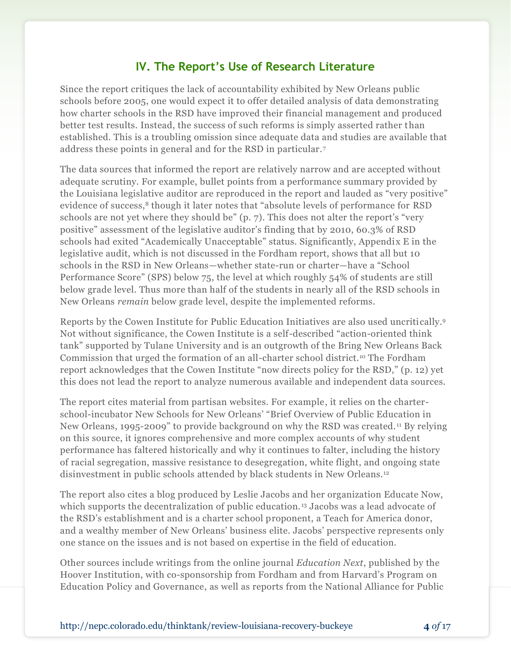### **IV. The Report's Use of Research Literature**

Since the report critiques the lack of accountability exhibited by New Orleans public schools before 2005, one would expect it to offer detailed analysis of data demonstrating how charter schools in the RSD have improved their financial management and produced better test results. Instead, the success of such reforms is simply asserted rather than established. This is a troubling omission since adequate data and studies are available that address these points in general and for the RSD in particular. <sup>7</sup>

The data sources that informed the report are relatively narrow and are accepted without adequate scrutiny. For example, bullet points from a performance summary provided by the Louisiana legislative auditor are reproduced in the report and lauded as "very positive" evidence of success,<sup>8</sup> though it later notes that "absolute levels of performance for RSD schools are not yet where they should be" (p. 7). This does not alter the report's "very positive" assessment of the legislative auditor's finding that by 2010, 60.3% of RSD schools had exited "Academically Unacceptable" status. Significantly, Appendix E in the legislative audit, which is not discussed in the Fordham report, shows that all but 10 schools in the RSD in New Orleans—whether state-run or charter—have a "School Performance Score" (SPS) below 75, the level at which roughly 54% of students are still below grade level. Thus more than half of the students in nearly all of the RSD schools in New Orleans *remain* below grade level, despite the implemented reforms.

Reports by the Cowen Institute for Public Education Initiatives are also used uncritically.<sup>9</sup> Not without significance, the Cowen Institute is a self-described "action-oriented think tank" supported by Tulane University and is an outgrowth of the Bring New Orleans Back Commission that urged the formation of an all-charter school district.<sup>10</sup> The Fordham report acknowledges that the Cowen Institute "now directs policy for the RSD," (p. 12) yet this does not lead the report to analyze numerous available and independent data sources.

The report cites material from partisan websites. For example, it relies on the charterschool-incubator New Schools for New Orleans' "Brief Overview of Public Education in New Orleans, 1995-2009" to provide background on why the RSD was created. <sup>11</sup> By relying on this source, it ignores comprehensive and more complex accounts of why student performance has faltered historically and why it continues to falter, including the history of racial segregation, massive resistance to desegregation, white flight, and ongoing state disinvestment in public schools attended by black students in New Orleans.<sup>12</sup>

The report also cites a blog produced by Leslie Jacobs and her organization Educate Now, which supports the decentralization of public education.<sup>13</sup> Jacobs was a lead advocate of the RSD's establishment and is a charter school proponent, a Teach for America donor, and a wealthy member of New Orleans' business elite. Jacobs' perspective represents only one stance on the issues and is not based on expertise in the field of education.

Other sources include writings from the online journal *Education Next*, published by the Hoover Institution, with co-sponsorship from Fordham and from Harvard's Program on Education Policy and Governance, as well as reports from the National Alliance for Public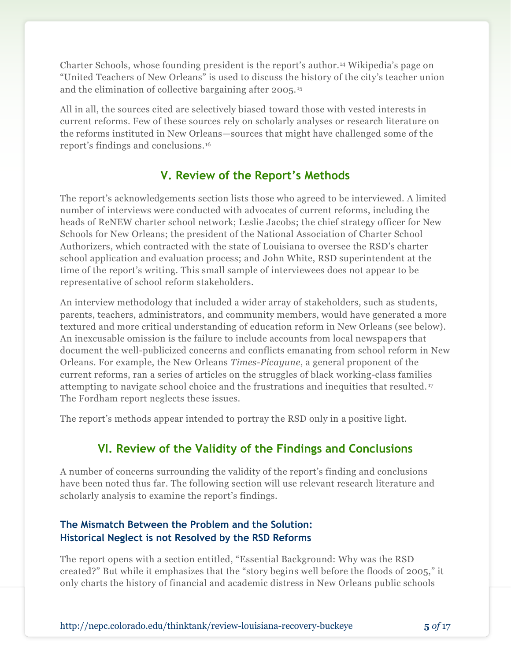Charter Schools, whose founding president is the report's author.<sup>14</sup> Wikipedia's page on "United Teachers of New Orleans" is used to discuss the history of the city's teacher union and the elimination of collective bargaining after 2005. <sup>15</sup>

All in all, the sources cited are selectively biased toward those with vested interests in current reforms. Few of these sources rely on scholarly analyses or research literature on the reforms instituted in New Orleans—sources that might have challenged some of the report's findings and conclusions.<sup>16</sup>

## **V. Review of the Report's Methods**

The report's acknowledgements section lists those who agreed to be interviewed. A limited number of interviews were conducted with advocates of current reforms, including the heads of ReNEW charter school network; Leslie Jacobs; the chief strategy officer for New Schools for New Orleans; the president of the National Association of Charter School Authorizers, which contracted with the state of Louisiana to oversee the RSD's charter school application and evaluation process; and John White, RSD superintendent at the time of the report's writing. This small sample of interviewees does not appear to be representative of school reform stakeholders.

An interview methodology that included a wider array of stakeholders, such as students, parents, teachers, administrators, and community members, would have generated a more textured and more critical understanding of education reform in New Orleans (see below). An inexcusable omission is the failure to include accounts from local newspapers that document the well-publicized concerns and conflicts emanating from school reform in New Orleans. For example, the New Orleans *Times-Picayune*, a general proponent of the current reforms, ran a series of articles on the struggles of black working-class families attempting to navigate school choice and the frustrations and inequities that resulted. <sup>17</sup> The Fordham report neglects these issues.

The report's methods appear intended to portray the RSD only in a positive light.

## **VI. Review of the Validity of the Findings and Conclusions**

A number of concerns surrounding the validity of the report's finding and conclusions have been noted thus far. The following section will use relevant research literature and scholarly analysis to examine the report's findings.

#### **The Mismatch Between the Problem and the Solution: Historical Neglect is not Resolved by the RSD Reforms**

The report opens with a section entitled, "Essential Background: Why was the RSD created?" But while it emphasizes that the "story begins well before the floods of 2005," it only charts the history of financial and academic distress in New Orleans public schools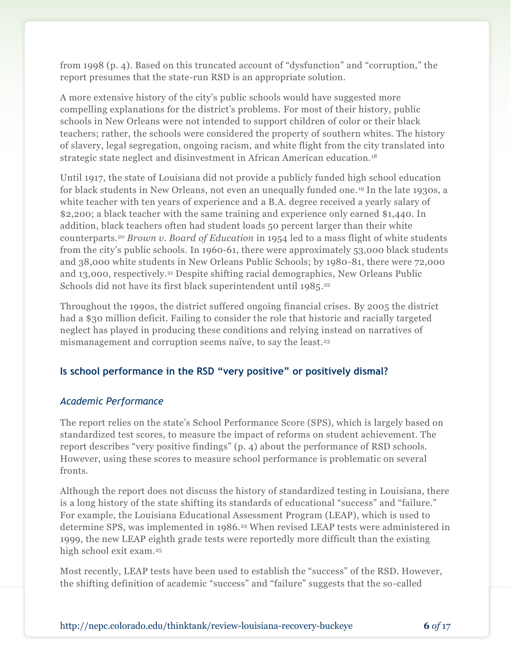from 1998 (p. 4). Based on this truncated account of "dysfunction" and "corruption," the report presumes that the state-run RSD is an appropriate solution.

A more extensive history of the city's public schools would have suggested more compelling explanations for the district's problems. For most of their history, public schools in New Orleans were not intended to support children of color or their black teachers; rather, the schools were considered the property of southern whites. The history of slavery, legal segregation, ongoing racism, and white flight from the city translated into strategic state neglect and disinvestment in African American education.<sup>18</sup>

Until 1917, the state of Louisiana did not provide a publicly funded high school education for black students in New Orleans, not even an unequally funded one. <sup>19</sup> In the late 1930s, a white teacher with ten years of experience and a B.A. degree received a yearly salary of \$2,200; a black teacher with the same training and experience only earned \$1,440. In addition, black teachers often had student loads 50 percent larger than their white counterparts.<sup>20</sup> *Brown v. Board of Education* in 1954 led to a mass flight of white students from the city's public schools. In 1960-61, there were approximately 53,000 black students and 38,000 white students in New Orleans Public Schools; by 1980-81, there were 72,000 and 13,000, respectively.<sup>21</sup> Despite shifting racial demographics, New Orleans Public Schools did not have its first black superintendent until 1985. 22

Throughout the 1990s, the district suffered ongoing financial crises. By 2005 the district had a \$30 million deficit. Failing to consider the role that historic and racially targeted neglect has played in producing these conditions and relying instead on narratives of mismanagement and corruption seems naïve, to say the least.<sup>23</sup>

#### **Is school performance in the RSD "very positive" or positively dismal?**

#### *Academic Performance*

The report relies on the state's School Performance Score (SPS), which is largely based on standardized test scores, to measure the impact of reforms on student achievement. The report describes "very positive findings" (p. 4) about the performance of RSD schools. However, using these scores to measure school performance is problematic on several fronts.

Although the report does not discuss the history of standardized testing in Louisiana, there is a long history of the state shifting its standards of educational "success" and "failure." For example, the Louisiana Educational Assessment Program (LEAP), which is used to determine SPS, was implemented in 1986.<sup>24</sup> When revised LEAP tests were administered in 1999, the new LEAP eighth grade tests were reportedly more difficult than the existing high school exit exam.<sup>25</sup>

Most recently, LEAP tests have been used to establish the "success" of the RSD. However, the shifting definition of academic "success" and "failure" suggests that the so-called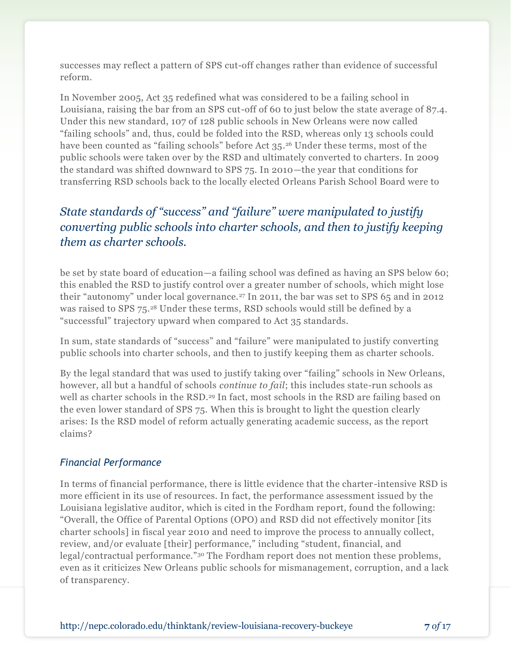successes may reflect a pattern of SPS cut-off changes rather than evidence of successful reform.

In November 2005, Act 35 redefined what was considered to be a failing school in Louisiana, raising the bar from an SPS cut-off of 60 to just below the state average of 87.4. Under this new standard, 107 of 128 public schools in New Orleans were now called "failing schools" and, thus, could be folded into the RSD, whereas only 13 schools could have been counted as "failing schools" before Act 35. <sup>26</sup> Under these terms, most of the public schools were taken over by the RSD and ultimately converted to charters. In 2009 the standard was shifted downward to SPS 75. In 2010—the year that conditions for transferring RSD schools back to the locally elected Orleans Parish School Board were to

## *State standards of "success" and "failure" were manipulated to justify converting public schools into charter schools, and then to justify keeping them as charter schools.*

be set by state board of education—a failing school was defined as having an SPS below 60; this enabled the RSD to justify control over a greater number of schools, which might lose their "autonomy" under local governance.<sup>27</sup> In 2011, the bar was set to SPS 65 and in 2012 was raised to SPS 75.<sup>28</sup> Under these terms, RSD schools would still be defined by a "successful" trajectory upward when compared to Act 35 standards.

In sum, state standards of "success" and "failure" were manipulated to justify converting public schools into charter schools, and then to justify keeping them as charter schools.

By the legal standard that was used to justify taking over "failing" schools in New Orleans, however, all but a handful of schools *continue to fail*; this includes state-run schools as well as charter schools in the RSD.<sup>29</sup> In fact, most schools in the RSD are failing based on the even lower standard of SPS 75. When this is brought to light the question clearly arises: Is the RSD model of reform actually generating academic success, as the report claims?

#### *Financial Performance*

In terms of financial performance, there is little evidence that the charter -intensive RSD is more efficient in its use of resources. In fact, the performance assessment issued by the Louisiana legislative auditor, which is cited in the Fordham report, found the following: "Overall, the Office of Parental Options (OPO) and RSD did not effectively monitor [its charter schools] in fiscal year 2010 and need to improve the process to annually collect, review, and/or evaluate [their] performance," including "student, financial, and legal/contractual performance."<sup>30</sup> The Fordham report does not mention these problems, even as it criticizes New Orleans public schools for mismanagement, corruption, and a lack of transparency.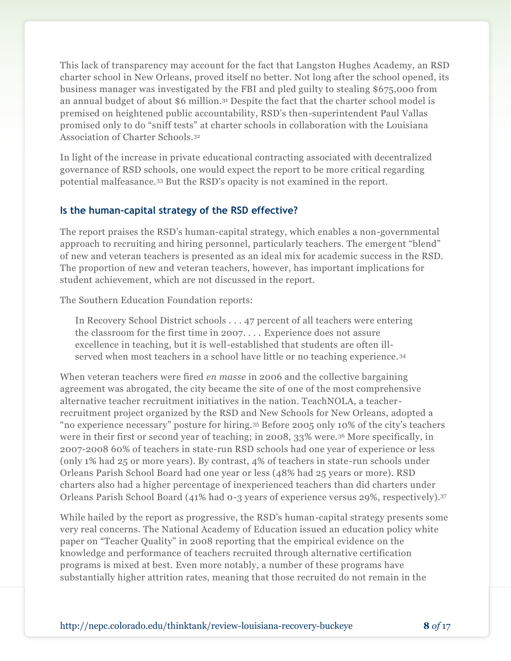This lack of transparency may account for the fact that Langston Hughes Academy, an RSD charter school in New Orleans, proved itself no better. Not long after the school opened, its business manager was investigated by the FBI and pled guilty to stealing \$675,000 from an annual budget of about \$6 million.<sup>31</sup> Despite the fact that the charter school model is premised on heightened public accountability, RSD's then-superintendent Paul Vallas promised only to do "sniff tests" at charter schools in collaboration with the Louisiana Association of Charter Schools.<sup>32</sup>

In light of the increase in private educational contracting associated with decentralized governance of RSD schools, one would expect the report to be more critical regarding potential malfeasance.<sup>33</sup> But the RSD's opacity is not examined in the report.

#### **Is the human-capital strategy of the RSD effective?**

The report praises the RSD's human-capital strategy, which enables a non-governmental approach to recruiting and hiring personnel, particularly teachers. The emergent "blend" of new and veteran teachers is presented as an ideal mix for academic success in the RSD. The proportion of new and veteran teachers, however, has important implications for student achievement, which are not discussed in the report.

The Southern Education Foundation reports:

In Recovery School District schools . . . 47 percent of all teachers were entering the classroom for the first time in 2007. . . . Experience does not assure excellence in teaching, but it is well-established that students are often illserved when most teachers in a school have little or no teaching experience. <sup>34</sup>

When veteran teachers were fired *en masse* in 2006 and the collective bargaining agreement was abrogated, the city became the site of one of the most comprehensive alternative teacher recruitment initiatives in the nation. TeachNOLA, a teacherrecruitment project organized by the RSD and New Schools for New Orleans, adopted a "no experience necessary" posture for hiring.<sup>35</sup> Before 2005 only 10% of the city's teachers were in their first or second year of teaching; in 2008, 33% were.<sup>36</sup> More specifically, in 2007-2008 60% of teachers in state-run RSD schools had one year of experience or less (only 1% had 25 or more years). By contrast, 4% of teachers in state-run schools under Orleans Parish School Board had one year or less (48% had 25 years or more). RSD charters also had a higher percentage of inexperienced teachers than did charters under Orleans Parish School Board (41% had 0-3 years of experience versus 29%, respectively).<sup>37</sup>

While hailed by the report as progressive, the RSD's human-capital strategy presents some very real concerns. The National Academy of Education issued an education policy white paper on "Teacher Quality" in 2008 reporting that the empirical evidence on the knowledge and performance of teachers recruited through alternative certification programs is mixed at best. Even more notably, a number of these programs have substantially higher attrition rates, meaning that those recruited do not remain in the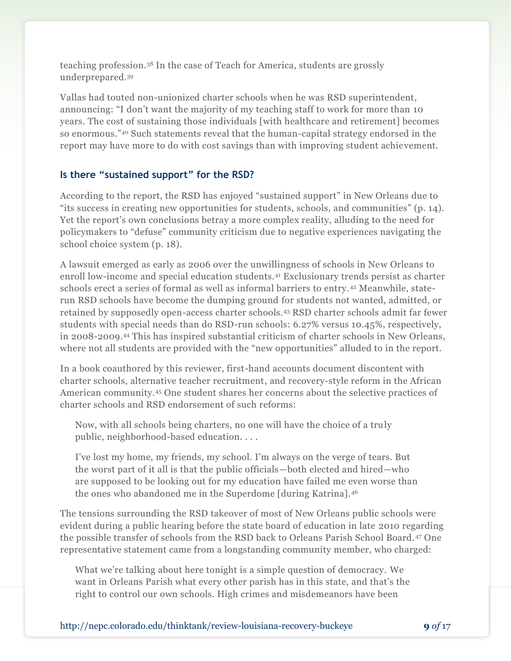teaching profession.<sup>38</sup> In the case of Teach for America, students are grossly underprepared.<sup>39</sup>

Vallas had touted non-unionized charter schools when he was RSD superintendent, announcing: "I don't want the majority of my teaching staff to work for more than 10 years. The cost of sustaining those individuals [with healthcare and retirement] becomes so enormous."<sup>40</sup> Such statements reveal that the human-capital strategy endorsed in the report may have more to do with cost savings than with improving student achievement.

#### **Is there "sustained support" for the RSD?**

According to the report, the RSD has enjoyed "sustained support" in New Orleans due to "its success in creating new opportunities for students, schools, and communities" (p. 14). Yet the report's own conclusions betray a more complex reality, alluding to the need for policymakers to "defuse" community criticism due to negative experiences navigating the school choice system (p. 18).

A lawsuit emerged as early as 2006 over the unwillingness of schools in New Orleans to enroll low-income and special education students.<sup>41</sup> Exclusionary trends persist as charter schools erect a series of formal as well as informal barriers to entry. <sup>42</sup> Meanwhile, staterun RSD schools have become the dumping ground for students not wanted, admitted, or retained by supposedly open-access charter schools.<sup>43</sup> RSD charter schools admit far fewer students with special needs than do RSD-run schools: 6.27% versus 10.45%, respectively, in 2008-2009. <sup>44</sup> This has inspired substantial criticism of charter schools in New Orleans, where not all students are provided with the "new opportunities" alluded to in the report.

In a book coauthored by this reviewer, first-hand accounts document discontent with charter schools, alternative teacher recruitment, and recovery-style reform in the African American community.<sup>45</sup> One student shares her concerns about the selective practices of charter schools and RSD endorsement of such reforms:

Now, with all schools being charters, no one will have the choice of a truly public, neighborhood-based education. . . .

I've lost my home, my friends, my school. I'm always on the verge of tears. But the worst part of it all is that the public officials—both elected and hired—who are supposed to be looking out for my education have failed me even worse than the ones who abandoned me in the Superdome [during Katrina].<sup>46</sup>

The tensions surrounding the RSD takeover of most of New Orleans public schools were evident during a public hearing before the state board of education in late 2010 regarding the possible transfer of schools from the RSD back to Orleans Parish School Board. <sup>47</sup> One representative statement came from a longstanding community member, who charged:

What we're talking about here tonight is a simple question of democracy. We want in Orleans Parish what every other parish has in this state, and that's the right to control our own schools. High crimes and misdemeanors have been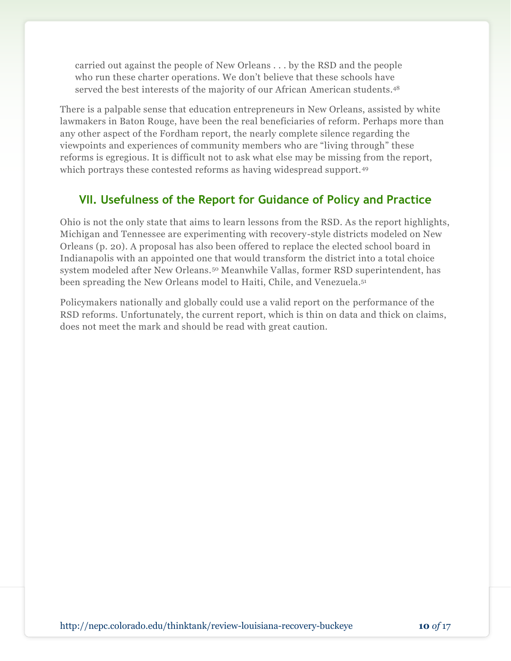carried out against the people of New Orleans . . . by the RSD and the people who run these charter operations. We don't believe that these schools have served the best interests of the majority of our African American students.<sup>48</sup>

There is a palpable sense that education entrepreneurs in New Orleans, assisted by white lawmakers in Baton Rouge, have been the real beneficiaries of reform. Perhaps more than any other aspect of the Fordham report, the nearly complete silence regarding the viewpoints and experiences of community members who are "living through" these reforms is egregious. It is difficult not to ask what else may be missing from the report, which portrays these contested reforms as having widespread support.<sup>49</sup>

## **VII. Usefulness of the Report for Guidance of Policy and Practice**

Ohio is not the only state that aims to learn lessons from the RSD. As the report highlights, Michigan and Tennessee are experimenting with recovery-style districts modeled on New Orleans (p. 20). A proposal has also been offered to replace the elected school board in Indianapolis with an appointed one that would transform the district into a total choice system modeled after New Orleans.<sup>50</sup> Meanwhile Vallas, former RSD superintendent, has been spreading the New Orleans model to Haiti, Chile, and Venezuela. 51

Policymakers nationally and globally could use a valid report on the performance of the RSD reforms. Unfortunately, the current report, which is thin on data and thick on claims, does not meet the mark and should be read with great caution.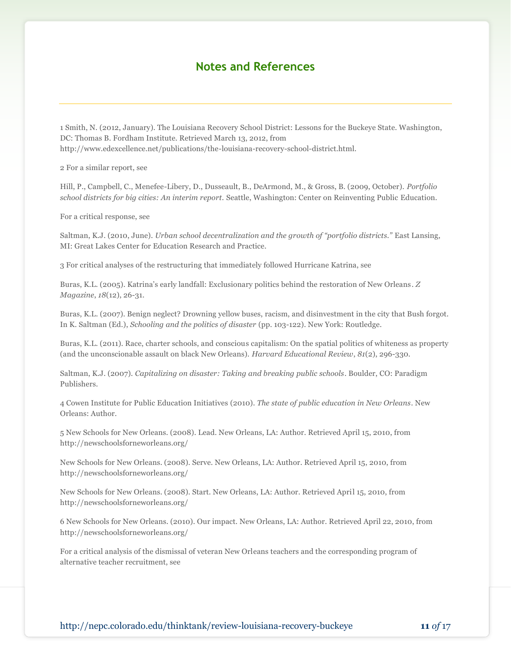#### **Notes and References**

1 Smith, N. (2012, January). The Louisiana Recovery School District: Lessons for the Buckeye State. Washington, DC: Thomas B. Fordham Institute. Retrieved March 13, 2012, from http://www.edexcellence.net/publications/the-louisiana-recovery-school-district.html.

2 For a similar report, see

Hill, P., Campbell, C., Menefee-Libery, D., Dusseault, B., DeArmond, M., & Gross, B. (2009, October). *Portfolio school districts for big cities: An interim report.* Seattle, Washington: Center on Reinventing Public Education.

For a critical response, see

Saltman, K.J. (2010, June). *Urban school decentralization and the growth of "portfolio districts."* East Lansing, MI: Great Lakes Center for Education Research and Practice.

3 For critical analyses of the restructuring that immediately followed Hurricane Katrina, see

Buras, K.L. (2005). Katrina's early landfall: Exclusionary politics behind the restoration of New Orleans *. Z Magazine*, *18*(12), 26-31.

Buras, K.L. (2007). Benign neglect? Drowning yellow buses, racism, and disinvestment in the city that Bush forgot. In K. Saltman (Ed.), *Schooling and the politics of disaster* (pp. 103-122). New York: Routledge.

Buras, K.L. (2011). Race, charter schools, and conscious capitalism: On the spatial politics of whiteness as property (and the unconscionable assault on black New Orleans). *Harvard Educational Review*, *81*(2), 296-330.

Saltman, K.J. (2007). *Capitalizing on disaster: Taking and breaking public schools*. Boulder, CO: Paradigm Publishers.

4 Cowen Institute for Public Education Initiatives (2010). *The state of public education in New Orleans*. New Orleans: Author.

5 New Schools for New Orleans. (2008). Lead. New Orleans, LA: Author. Retrieved April 15, 2010, from http://newschoolsforneworleans.org/

New Schools for New Orleans. (2008). Serve. New Orleans, LA: Author. Retrieved April 15, 2010, from http://newschoolsforneworleans.org/

New Schools for New Orleans. (2008). Start. New Orleans, LA: Author. Retrieved April 15, 2010, from http://newschoolsforneworleans.org/

6 New Schools for New Orleans. (2010). Our impact. New Orleans, LA: Author. Retrieved April 22, 2010, from http://newschoolsforneworleans.org/

For a critical analysis of the dismissal of veteran New Orleans teachers and the corresponding program of alternative teacher recruitment, see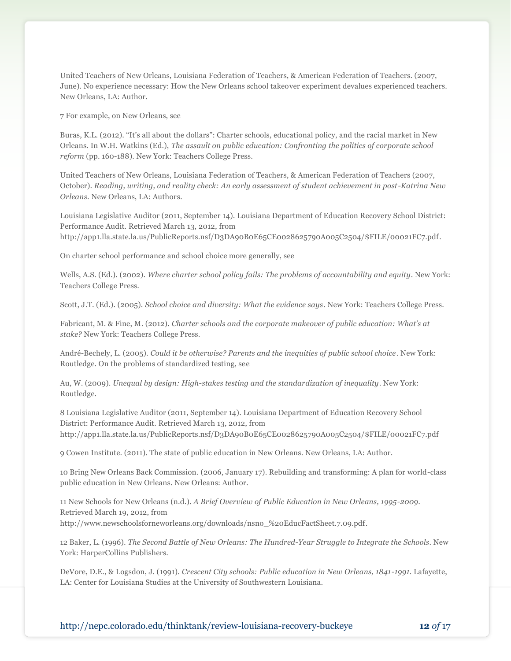United Teachers of New Orleans, Louisiana Federation of Teachers, & American Federation of Teachers. (2007, June). No experience necessary: How the New Orleans school takeover experiment devalues experienced teachers. New Orleans, LA: Author.

7 For example, on New Orleans, see

Buras, K.L. (2012). "It's all about the dollars": Charter schools, educational policy, and the racial market in New Orleans. In W.H. Watkins (Ed.), *The assault on public education: Confronting the politics of corporate school reform* (pp. 160-188). New York: Teachers College Press.

United Teachers of New Orleans, Louisiana Federation of Teachers, & American Federation of Teachers (2007, October). *Reading, writing, and reality check: An early assessment of student achievement in post-Katrina New Orleans.* New Orleans, LA: Authors.

Louisiana Legislative Auditor (2011, September 14). Louisiana Department of Education Recovery School District: Performance Audit. Retrieved March 13, 2012, from http://app1.lla.state.la.us/PublicReports.nsf/D3DA90B0E65CE0028625790A005C2504/\$FILE/00021FC7.pdf.

On charter school performance and school choice more generally, see

Wells, A.S. (Ed.). (2002). *Where charter school policy fails: The problems of accountability and equity*. New York: Teachers College Press.

Scott, J.T. (Ed.). (2005). *School choice and diversity: What the evidence says*. New York: Teachers College Press.

Fabricant, M. & Fine, M. (2012). *Charter schools and the corporate makeover of public education: What's at stake?* New York: Teachers College Press.

André-Bechely, L. (2005). *Could it be otherwise? Parents and the inequities of public school choice*. New York: Routledge. On the problems of standardized testing, see

Au, W. (2009). *Unequal by design: High-stakes testing and the standardization of inequality*. New York: Routledge.

8 Louisiana Legislative Auditor (2011, September 14). Louisiana Department of Education Recovery School District: Performance Audit. Retrieved March 13, 2012, from http://app1.lla.state.la.us/PublicReports.nsf/D3DA90B0E65CE0028625790A005C2504/\$FILE/00021FC7.pdf

9 Cowen Institute. (2011). The state of public education in New Orleans. New Orleans, LA: Author.

10 Bring New Orleans Back Commission. (2006, January 17). Rebuilding and transforming: A plan for world-class public education in New Orleans. New Orleans: Author.

11 New Schools for New Orleans (n.d.). *A Brief Overview of Public Education in New Orleans, 1995-2009*. Retrieved March 19, 2012, from http://www.newschoolsforneworleans.org/downloads/nsno\_%20EducFactSheet.7.09.pdf.

12 Baker, L. (1996). *The Second Battle of New Orleans: The Hundred-Year Struggle to Integrate the Schools*. New York: HarperCollins Publishers.

DeVore, D.E., & Logsdon, J. (1991). *Crescent City schools: Public education in New Orleans, 1841-1991*. Lafayette, LA: Center for Louisiana Studies at the University of Southwestern Louisiana.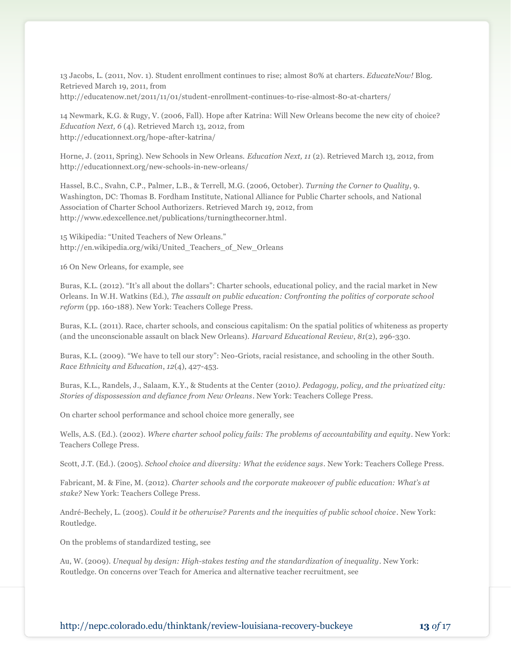13 Jacobs, L. (2011, Nov. 1). Student enrollment continues to rise; almost 80% at charters. *EducateNow!* Blog. Retrieved March 19, 2011, from http://educatenow.net/2011/11/01/student-enrollment-continues-to-rise-almost-80-at-charters/

14 Newmark, K.G. & Rugy, V. (2006, Fall). Hope after Katrina: Will New Orleans become the new city of choice? *Education Next, 6* (4). Retrieved March 13, 2012, from http://educationnext.org/hope-after-katrina/

Horne, J. (2011, Spring). New Schools in New Orleans. *Education Next, 11* (2). Retrieved March 13, 2012, from http://educationnext.org/new-schools-in-new-orleans/

Hassel, B.C., Svahn, C.P., Palmer, L.B., & Terrell, M.G. (2006, October). *Turning the Corner to Quality*, 9. Washington, DC: Thomas B. Fordham Institute, National Alliance for Public Charter schools, and National Association of Charter School Authorizers. Retrieved March 19, 2012, from http://www.edexcellence.net/publications/turningthecorner.html.

15 Wikipedia: "United Teachers of New Orleans." http://en.wikipedia.org/wiki/United\_Teachers\_of\_New\_Orleans

16 On New Orleans, for example, see

Buras, K.L. (2012). "It's all about the dollars": Charter schools, educational policy, and the racial market in New Orleans. In W.H. Watkins (Ed.), *The assault on public education: Confronting the politics of corporate school reform* (pp. 160-188). New York: Teachers College Press.

Buras, K.L. (2011). Race, charter schools, and conscious capitalism: On the spatial politics of whiteness as property (and the unconscionable assault on black New Orleans). *Harvard Educational Review*, *81*(2), 296-330.

Buras, K.L. (2009). "We have to tell our story": Neo-Griots, racial resistance, and schooling in the other South. *Race Ethnicity and Education*, *12*(4), 427-453.

Buras, K.L., Randels, J., Salaam, K.Y., & Students at the Center (2010*). Pedagogy, policy, and the privatized city: Stories of dispossession and defiance from New Orleans*. New York: Teachers College Press.

On charter school performance and school choice more generally, see

Wells, A.S. (Ed.). (2002). *Where charter school policy fails: The problems of accountability and equity*. New York: Teachers College Press.

Scott, J.T. (Ed.). (2005). *School choice and diversity: What the evidence says*. New York: Teachers College Press.

Fabricant, M. & Fine, M. (2012). *Charter schools and the corporate makeover of public education: What's at stake?* New York: Teachers College Press.

André-Bechely, L. (2005). *Could it be otherwise? Parents and the inequities of public school choice*. New York: Routledge.

On the problems of standardized testing, see

Au, W. (2009). *Unequal by design: High-stakes testing and the standardization of inequality*. New York: Routledge. On concerns over Teach for America and alternative teacher recruitment, see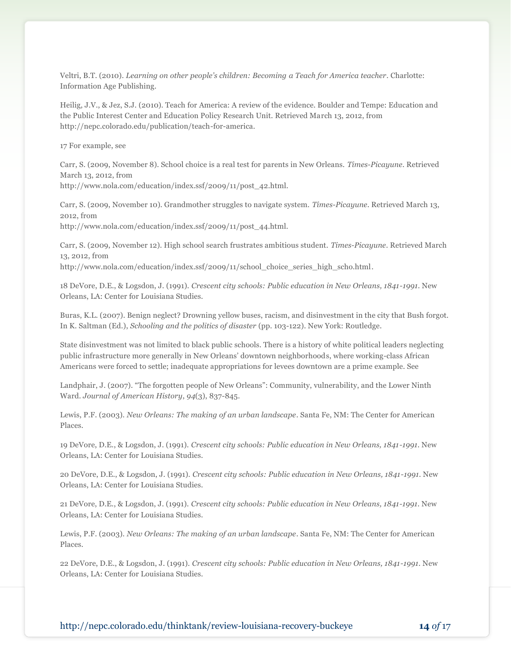Veltri, B.T. (2010). *Learning on other people's children: Becoming a Teach for America teacher*. Charlotte: Information Age Publishing.

Heilig, J.V., & Jez, S.J. (2010). Teach for America: A review of the evidence. Boulder and Tempe: Education and the Public Interest Center and Education Policy Research Unit. Retrieved March 13, 2012, from http://nepc.colorado.edu/publication/teach-for-america.

17 For example, see

Carr, S. (2009, November 8). School choice is a real test for parents in New Orleans. *Times-Picayune*. Retrieved March 13, 2012, from http://www.nola.com/education/index.ssf/2009/11/post\_42.html.

Carr, S. (2009, November 10). Grandmother struggles to navigate system. *Times-Picayune*. Retrieved March 13, 2012, from

http://www.nola.com/education/index.ssf/2009/11/post\_44.html.

Carr, S. (2009, November 12). High school search frustrates ambitious student. *Times-Picayune*. Retrieved March 13, 2012, from

http://www.nola.com/education/index.ssf/2009/11/school\_choice\_series\_high\_scho.html.

18 DeVore, D.E., & Logsdon, J. (1991). *Crescent city schools: Public education in New Orleans, 1841-1991*. New Orleans, LA: Center for Louisiana Studies.

Buras, K.L. (2007). Benign neglect? Drowning yellow buses, racism, and disinvestment in the city that Bush forgot. In K. Saltman (Ed.), *Schooling and the politics of disaster* (pp. 103-122). New York: Routledge.

State disinvestment was not limited to black public schools. There is a history of white political leaders neglecting public infrastructure more generally in New Orleans' downtown neighborhoods, where working-class African Americans were forced to settle; inadequate appropriations for levees downtown are a prime example. See

Landphair, J. (2007). "The forgotten people of New Orleans": Community, vulnerability, and the Lower Ninth Ward. *Journal of American History*, *94*(3), 837-845.

Lewis, P.F. (2003). *New Orleans: The making of an urban landscape*. Santa Fe, NM: The Center for American Places.

19 DeVore, D.E., & Logsdon, J. (1991). *Crescent city schools: Public education in New Orleans, 1841-1991*. New Orleans, LA: Center for Louisiana Studies.

20 DeVore, D.E., & Logsdon, J. (1991). *Crescent city schools: Public education in New Orleans, 1841-1991*. New Orleans, LA: Center for Louisiana Studies.

21 DeVore, D.E., & Logsdon, J. (1991). *Crescent city schools: Public education in New Orleans, 1841-1991*. New Orleans, LA: Center for Louisiana Studies.

Lewis, P.F. (2003). *New Orleans: The making of an urban landscape*. Santa Fe, NM: The Center for American Places.

22 DeVore, D.E., & Logsdon, J. (1991). *Crescent city schools: Public education in New Orleans, 1841-1991*. New Orleans, LA: Center for Louisiana Studies.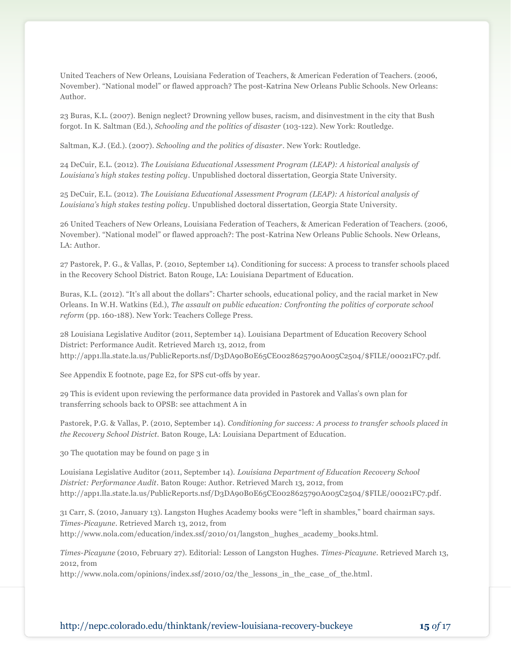United Teachers of New Orleans, Louisiana Federation of Teachers, & American Federation of Teachers. (2006, November). "National model" or flawed approach? The post-Katrina New Orleans Public Schools. New Orleans: Author.

23 Buras, K.L. (2007). Benign neglect? Drowning yellow buses, racism, and disinvestment in the city that Bush forgot. In K. Saltman (Ed.), *Schooling and the politics of disaster* (103-122). New York: Routledge.

Saltman, K.J. (Ed.). (2007). *Schooling and the politics of disaster*. New York: Routledge.

24 DeCuir, E.L. (2012). *The Louisiana Educational Assessment Program (LEAP): A historical analysis of Louisiana's high stakes testing policy*. Unpublished doctoral dissertation, Georgia State University.

25 DeCuir, E.L. (2012). *The Louisiana Educational Assessment Program (LEAP): A historical analysis of Louisiana's high stakes testing policy*. Unpublished doctoral dissertation, Georgia State University.

26 United Teachers of New Orleans, Louisiana Federation of Teachers, & American Federation of Teachers. (2006, November). "National model" or flawed approach?: The post-Katrina New Orleans Public Schools. New Orleans, LA: Author.

27 Pastorek, P. G., & Vallas, P. (2010, September 14). Conditioning for success: A process to transfer schools placed in the Recovery School District. Baton Rouge, LA: Louisiana Department of Education.

Buras, K.L. (2012). "It's all about the dollars": Charter schools, educational policy, and the racial market in New Orleans. In W.H. Watkins (Ed.), *The assault on public education: Confronting the politics of corporate school reform* (pp. 160-188). New York: Teachers College Press.

28 Louisiana Legislative Auditor (2011, September 14). Louisiana Department of Education Recovery School District: Performance Audit. Retrieved March 13, 2012, from http://app1.lla.state.la.us/PublicReports.nsf/D3DA90B0E65CE0028625790A005C2504/\$FILE/00021FC7.pdf.

See Appendix E footnote, page E2, for SPS cut-offs by year.

29 This is evident upon reviewing the performance data provided in Pastorek and Vallas's own plan for transferring schools back to OPSB: see attachment A in

Pastorek, P.G. & Vallas, P. (2010, September 14). *Conditioning for success: A process to transfer schools placed in the Recovery School District.* Baton Rouge, LA: Louisiana Department of Education.

30 The quotation may be found on page 3 in

Louisiana Legislative Auditor (2011, September 14). *Louisiana Department of Education Recovery School District: Performance Audit*. Baton Rouge: Author. Retrieved March 13, 2012, from http://app1.lla.state.la.us/PublicReports.nsf/D3DA90B0E65CE0028625790A005C2504/\$FILE/00021FC7.pdf.

31 Carr, S. (2010, January 13). Langston Hughes Academy books were "left in shambles," board chairman says. *Times-Picayune*. Retrieved March 13, 2012, from http://www.nola.com/education/index.ssf/2010/01/langston\_hughes\_academy\_books.html.

*Times-Picayune* (2010, February 27). Editorial: Lesson of Langston Hughes. *Times-Picayune*. Retrieved March 13, 2012, from

http://www.nola.com/opinions/index.ssf/2010/02/the\_lessons\_in\_the\_case\_of\_the.html.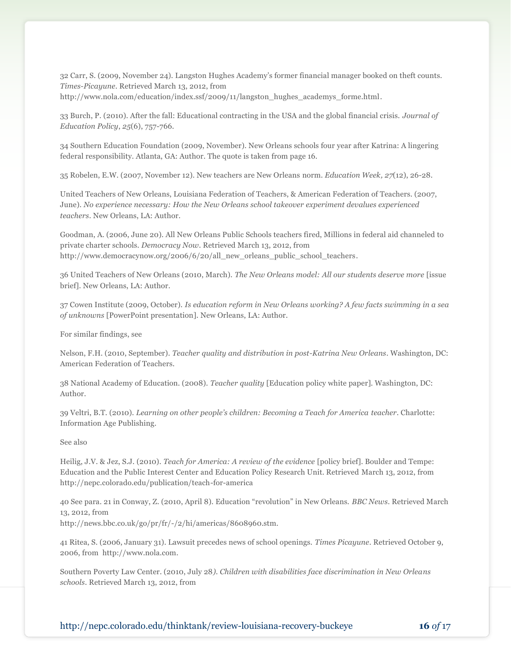32 Carr, S. (2009, November 24). Langston Hughes Academy's former financial manager booked on theft counts. *Times-Picayune*. Retrieved March 13, 2012, from http://www.nola.com/education/index.ssf/2009/11/langston\_hughes\_academys\_forme.html.

33 Burch, P. (2010). After the fall: Educational contracting in the USA and the global financial crisis. *Journal of Education Policy*, *25*(6), 757-766.

34 Southern Education Foundation (2009, November). New Orleans schools four year after Katrina: A lingering federal responsibility. Atlanta, GA: Author. The quote is taken from page 16.

35 Robelen, E.W. (2007, November 12). New teachers are New Orleans norm. *Education Week, 27*(12), 26-28.

United Teachers of New Orleans, Louisiana Federation of Teachers, & American Federation of Teachers. (2007, June). *No experience necessary: How the New Orleans school takeover experiment devalues experienced teachers*. New Orleans, LA: Author.

Goodman, A. (2006, June 20). All New Orleans Public Schools teachers fired, Millions in federal aid channeled to private charter schools. *Democracy Now*. Retrieved March 13, 2012, from http://www.democracynow.org/2006/6/20/all\_new\_orleans\_public\_school\_teachers.

36 United Teachers of New Orleans (2010, March). *The New Orleans model: All our students deserve more* [issue brief]. New Orleans, LA: Author.

37 Cowen Institute (2009, October). *Is education reform in New Orleans working? A few facts swimming in a sea of unknowns* [PowerPoint presentation]. New Orleans, LA: Author.

For similar findings, see

Nelson, F.H. (2010, September). *Teacher quality and distribution in post-Katrina New Orleans*. Washington, DC: American Federation of Teachers.

38 National Academy of Education. (2008). *Teacher quality* [Education policy white paper]. Washington, DC: Author.

39 Veltri, B.T. (2010). *Learning on other people's children: Becoming a Teach for America teacher*. Charlotte: Information Age Publishing.

See also

Heilig, J.V. & Jez, S.J. (2010). *Teach for America: A review of the evidence* [policy brief]. Boulder and Tempe: Education and the Public Interest Center and Education Policy Research Unit. Retrieved March 13, 2012, from http://nepc.colorado.edu/publication/teach-for-america

40 See para. 21 in Conway, Z. (2010, April 8). Education "revolution" in New Orleans. *BBC News*. Retrieved March 13, 2012, from

http://news.bbc.co.uk/go/pr/fr/-/2/hi/americas/8608960.stm.

41 Ritea, S. (2006, January 31). Lawsuit precedes news of school openings. *Times Picayune*. Retrieved October 9, 2006, from http://www.nola.com.

Southern Poverty Law Center. (2010, July 28*). Children with disabilities face discrimination in New Orleans schools*. Retrieved March 13, 2012, from

http://nepc.colorado.edu/thinktank/review-louisiana-recovery-buckeye **16** *of* 17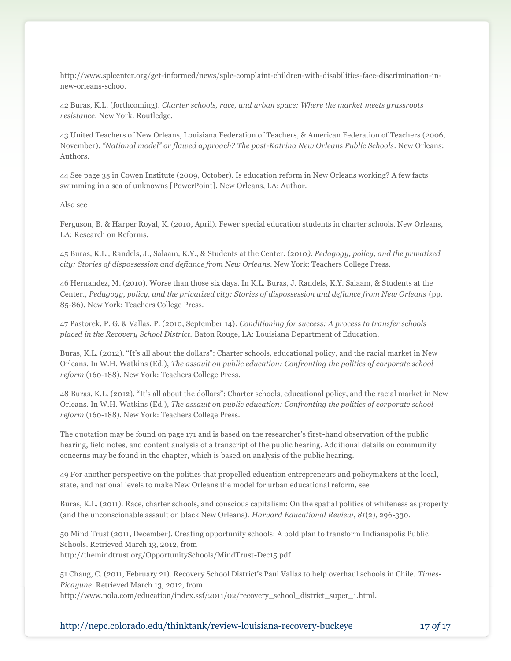http://www.splcenter.org/get-informed/news/splc-complaint-children-with-disabilities-face-discrimination-innew-orleans-schoo.

42 Buras, K.L. (forthcoming). *Charter schools, race, and urban space: Where the market meets grassroots resistance*. New York: Routledge.

43 United Teachers of New Orleans, Louisiana Federation of Teachers, & American Federation of Teachers (2006, November). *"National model" or flawed approach? The post-Katrina New Orleans Public Schools*. New Orleans: Authors.

44 See page 35 in Cowen Institute (2009, October). Is education reform in New Orleans working? A few facts swimming in a sea of unknowns [PowerPoint]. New Orleans, LA: Author.

#### Also see

Ferguson, B. & Harper Royal, K. (2010, April). Fewer special education students in charter schools. New Orleans, LA: Research on Reforms.

45 Buras, K.L., Randels, J., Salaam, K.Y., & Students at the Center. (2010*). Pedagogy, policy, and the privatized city: Stories of dispossession and defiance from New Orleans*. New York: Teachers College Press.

46 Hernandez, M. (2010). Worse than those six days. In K.L. Buras, J. Randels, K.Y. Salaam, & Students at the Center., *Pedagogy, policy, and the privatized city: Stories of dispossession and defiance from New Orleans* (pp. 85-86). New York: Teachers College Press.

47 Pastorek, P. G. & Vallas, P. (2010, September 14). *Conditioning for success: A process to transfer schools placed in the Recovery School District.* Baton Rouge, LA: Louisiana Department of Education.

Buras, K.L. (2012). "It's all about the dollars": Charter schools, educational policy, and the racial market in New Orleans. In W.H. Watkins (Ed.), *The assault on public education: Confronting the politics of corporate school reform* (160-188). New York: Teachers College Press.

48 Buras, K.L. (2012). "It's all about the dollars": Charter schools, educational policy, and the racial market in New Orleans. In W.H. Watkins (Ed.), *The assault on public education: Confronting the politics of corporate school reform* (160-188). New York: Teachers College Press.

The quotation may be found on page 171 and is based on the researcher's first-hand observation of the public hearing, field notes, and content analysis of a transcript of the public hearing. Additional details on community concerns may be found in the chapter, which is based on analysis of the public hearing.

49 For another perspective on the politics that propelled education entrepreneurs and policymakers at the local, state, and national levels to make New Orleans the model for urban educational reform, see

Buras, K.L. (2011). Race, charter schools, and conscious capitalism: On the spatial politics of whiteness as property (and the unconscionable assault on black New Orleans). *Harvard Educational Review*, *81*(2), 296-330.

50 Mind Trust (2011, December). Creating opportunity schools: A bold plan to transform Indianapolis Public Schools. Retrieved March 13, 2012, from http://themindtrust.org/OpportunitySchools/MindTrust-Dec15.pdf

51 Chang, C. (2011, February 21). Recovery School District's Paul Vallas to help overhaul schools in Chile. *Times-Picayune*. Retrieved March 13, 2012, from http://www.nola.com/education/index.ssf/2011/02/recovery\_school\_district\_super\_1.html.

http://nepc.colorado.edu/thinktank/review-louisiana-recovery-buckeye **17** *of* 17